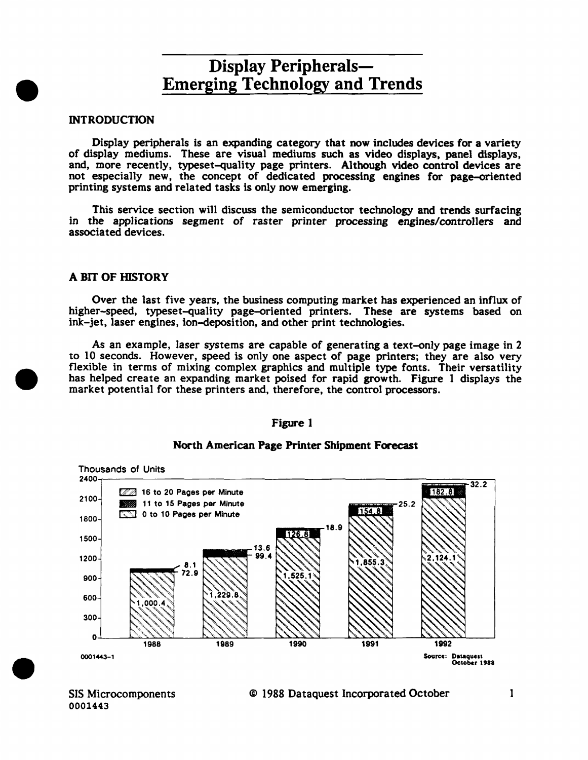### **INTRODUCTION**

•

•

•

Display peripherals is an expanding category that now includes devices for a variety of display mediums. These are visual mediums such as video displays, panel displays, and, more recently, typeset-quality page printers. Although video control devices are not especially new, the concept of dedicated processing engines for page-oriented printing systems and related tasks is only now emerging.

This service section will discuss the semiconductor technology and trends surfacing in the applications segment of raster printer processing engines/controllers and associated devices.

### A BIT OF HISTORY

Over the last five years, the business computing market has experienced an influx of higher-speed, typeset-quality page-oriented printers. These are systems based on ink-jet, laser engines, ion-deposition, and other print technologies.

As an example, laser systems are capable of generating a text-only page image in 2 to 10 seconds. However, speed is only one aspect of page printers; they are also very flexible in terms of mixing complex graphics and multiple type fonts. Their versatility has helped create an expanding market poised for rapid growth. Figure 1 displays the market potential for these printers and, therefore, the control processors.

#### Figure l



### North American Page Printer Shipment Forecast

SIS Microcomponents 0001443

#### © 1988 Dataquest Incorporated October 1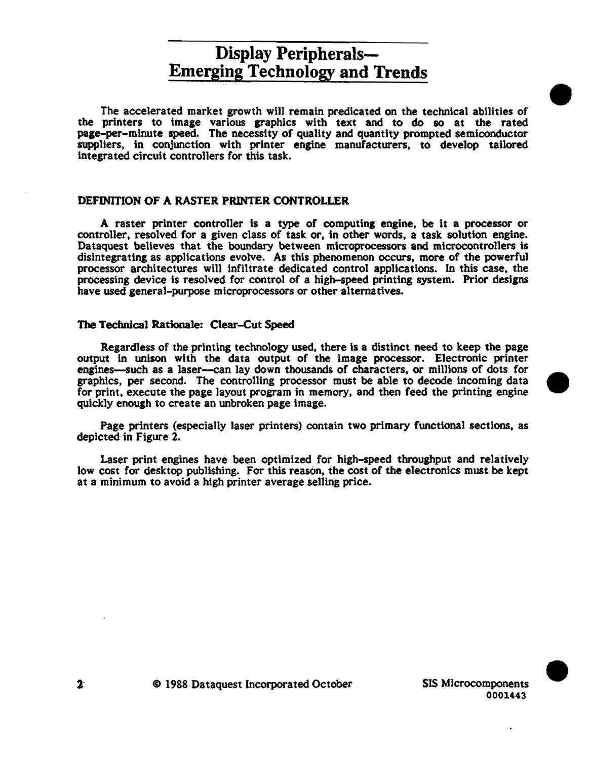The accelerated market growth will remain predicated on the technical abilities of the printers to image various graphics with text and to do so at the rated page-per-minute speed. The necessity of quality and quantity prompted semiconductor suppliers, in conjunction with printer engine manufacturers, to develop tailored Integrated circuit controllers for this task.

### DEFINITION OF A RASTER PRINTER CONTROLLER

A raster printer controller ts a type of computing engine, be it a processor or controller, resolved for a given class of task or, in other words, a task solution engine. Dataquest believes that the boundary between microprocessors and microcontrollers is disintegrating as applications evolve. As this phenomenon occurs, more of the powerful processor architectures will infiltrate dedicated control applications. In this case, the processing device is resolved for control of a high-speed printing system. Prior designs have used general-purpose microprocessors or other alternatives.

#### The Technical Rationale: Clear-Cut Speed

Regardless of the printing technology used, there is a distinct need to keep the page output in unison with the data output of the image processor. Electronic printer engines—such as a laser—can lay down thousands of characters, or millions of dots for graphics, per second. The controlling processor must be able to decode incoming data for print, execute the page layout program in memory, and then feed the printing engine quickly enough to create an unbroken page image.

Page printers (especially laser printers) contain two primary functional sections, as depicted in Figure 2.

Laser print engines have been optimized for high-speed throughput and relatively low cost for desktop publishing. For this reason, the cost of the electronics must be kept at a minimum to avoid a high printer average selling price.



•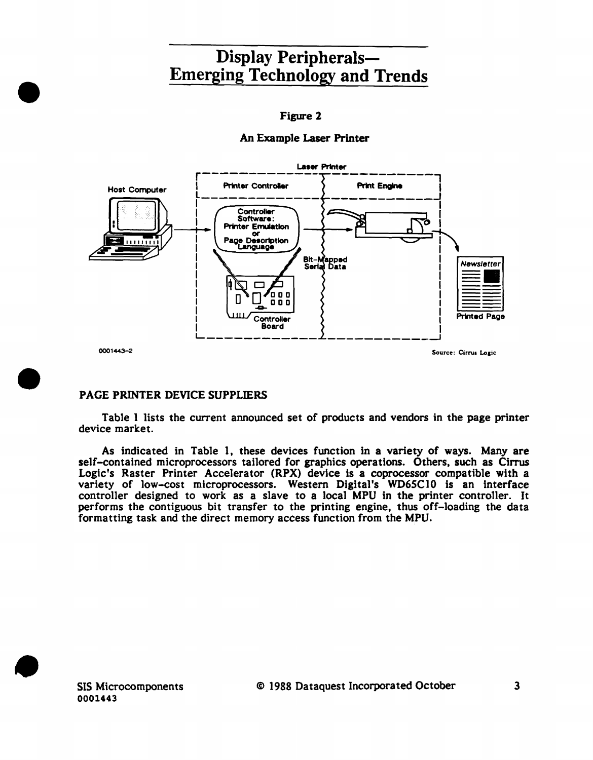### Figure 2

## An Example Laser Printer



## PAGE PRINTER DEVICE SUPPLIERS

•

•

•

Table 1 lists the current announced set of products and vendors in the page printer device market.

As indicated in Table 1, these devices function in a variety of ways. Many are self-contained microprocessors tailored for graphics operations. Others, such as Cirrus Logic's Raster Printer Accelerator (RPX) device is a coprocessor compatible with a variety of low-cost microprocessors. Western Digital's WD6SC10 is an interface controller designed to work as a slave to a local MPU in the printer controller. It performs the contiguous bit transfer to the printing engine, thus off-loading the data formatting task and the direct memory access function from the MPU.